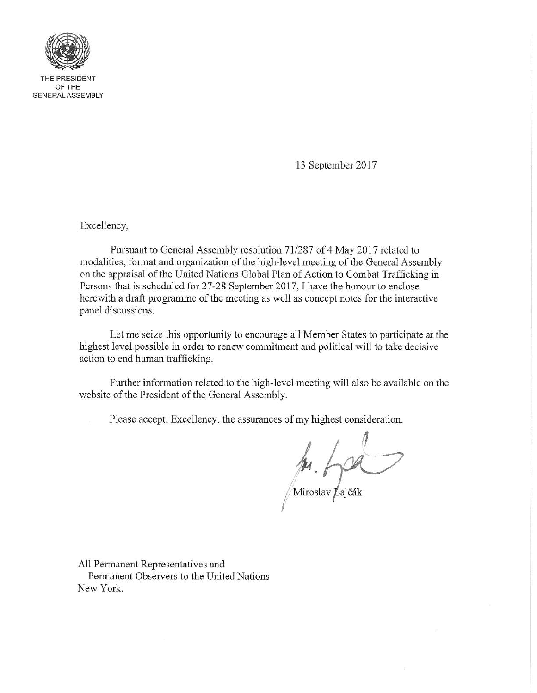

THE PRESIDENT OF THE **GENERAL ASSEMBLY** 

13 September 2017

Excellency,

Pursuant to General Assembly resolution 71/287 of 4 May 2017 related to modalities, format and organization of the high-level meeting of the General Assembly on the appraisal of the United Nations Global Plan of Action to Combat Trafficking in Persons that is scheduled for 27-28 September 2017, I have the honour to enclose herewith a draft programme of the meeting as well as concept notes for the interactive panel discussions.

Let me seize this opportunity to encourage all Member States to participate at the highest level possible in order to renew commitment and political will to take decisive action to end human trafficking.

Further information related to the high-level meeting will also be available on the website of the President of the General Assembly.

Please accept, Excellency, the assurances of my highest consideration.

 $\mu. \rho$ 

All Permanent Representatives and Permanent Observers to the United Nations New York.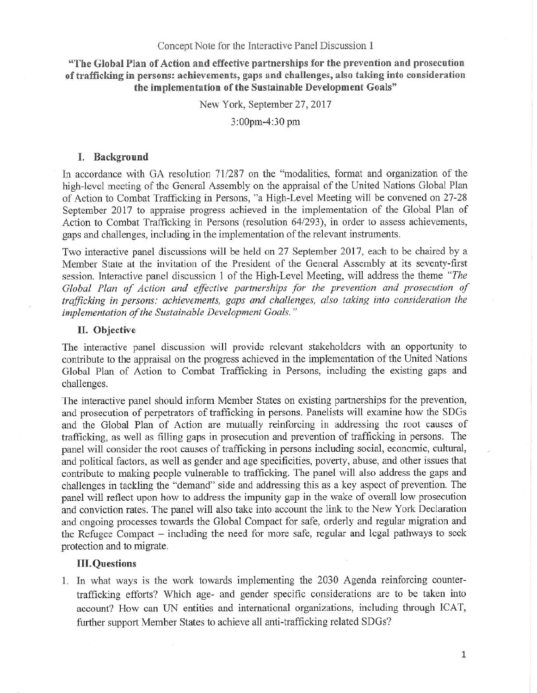"The Global Plan of Action and effective partnerships for the prevention and prosecution of trafficking in persons; achievements, gaps and challenges, also taking into consideration the implementation of the Sustainable Development Goals"

New York, September 27, 2017

3:OOpm-4:30 pm

# I. Background

In accordance with GA resolution 71/287 on the "modalities, format and organization of the high-level meeting of the General Assembly on the appraisal of the United Nations Global Plan of Action to Combat Trafficking in Persons, "a High-Level Meeting will be convened on 27-28 September 2017 to appraise progress achieved in the implementation of the Global Plan of Action to Combat Trafficking in Persons (resolution 64/293), in order to assess achievements, gaps and challenges, including in the implementation of the relevant instruments.

Two interactive panel discussions will be held on 27 September 2017, each to be chaired by a Member State at the invitation of the President of the General Assembly at its seventy-first session. Interactive panel discussion I of the High-Level Meeting, will address the theme *"The Global Plan of Action and effective partnerships for the prevention and prosecution of trafficking in persons.- achievements, gaps and challenges, also taking into consideration the implementation of the Sustainable Development Goals. "*

## II. Objective

The interactive panel discussion will provide relevant stakeholders with an opportunity to contribute to the appraisal on the progress achieved in the implementation of the United Nations Global Plan of Action to Combat Trafficking in Persons, including the existing gaps and challenges.

The interactive panel should inform Member States on existing partnerships for the prevention, and prosecution of perpetrators of trafficking in persons. Panelists will examine how the SDGs and the Global Plan of Action are mutually reinforcing in addressing the root causes of trafficking, as well as filling gaps in prosecution and prevention of trafficking in persons. The panel will consider the root causes of trafficking in persons including social, economic, cultural, and political factors, as well as gender and age specificities, poverty, abuse, and other issues that contribute to making people vulnerable to trafficking. The panel will also address the gaps and challenges in tackling the "demand" side and addressing this as a key aspect of prevention. The panel will reflect upon how to address the impunity gap in the wake of overall low prosecution and conviction rates. The panel will also take into account the link to the New York Declaration and ongoing processes towards the Global Compact for safe, orderly and regular migration and the Refugee Compact – including the need for more safe, regular and legal pathways to seek protection and to migrate.

# **III.Questions**

I. In what ways is the work towards implementing the 2030 Agenda reinforcing countertrafficking efforts? Which age- and gender specific considerations are to be taken into account? How can UN entities and international organizations, including through ICAT, further support Member States to achieve all anti-trafficking related SDGs?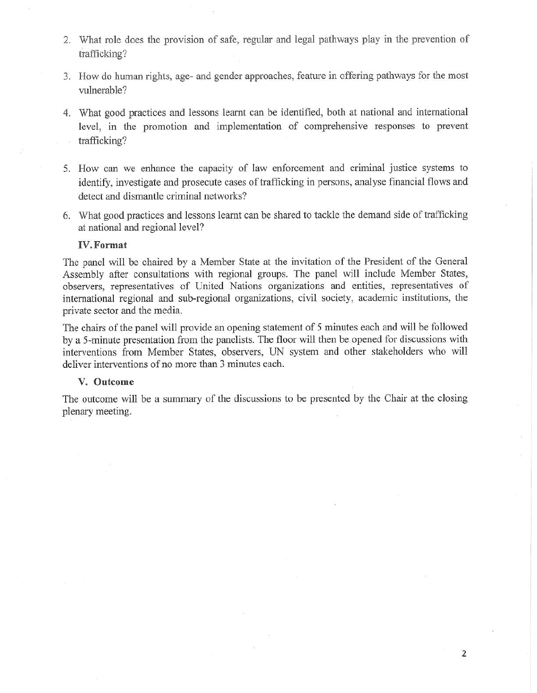- 2. What role does the provision of safe, regular and legal pathways play in the prevention of trafficking?
- 3. How do human rights, age- and gender approaches, feature in offering pathways for the most vulnerable?
- 4. What good practices and lessons learnt can be identified, both at national and international level, in the promotion and implementation of comprehensive responses to prevent trafficking?
- 5. How can we enhance the capacity of law enforcement and criminal justice systems to identify, investigate and prosecute cases of trafficking in persons, analyse financial flows and detect and dismantle criminal networks?
- 6. What good practices and lessons learnt can be shared to tackle the demand side of trafficking at national and regional level?

## IV. Format

The panel will be chaired by a Member State at the invitation of the President of the General Assembly after consultations with regional groups. The panel will include Member States, observers, representatives of United Nations organizations and entities, representatives of international regional and sub-regional organizations, civil society, academic institutions, the private sector and the media.

The chairs of the panel will provide an opening statement of 5 minutes each and will be followed by a 5-minute presentation from the panelists. The floor will then be opened for discussions with interventions from Member States, observers, UN system and other stakeholders who will deliver interventions of no more than 3 minutes each.

## V. Outcome

The outcome will be a summary of the discussions to be presented by the Chair at the closing plenary meeting.

 $\overline{2}$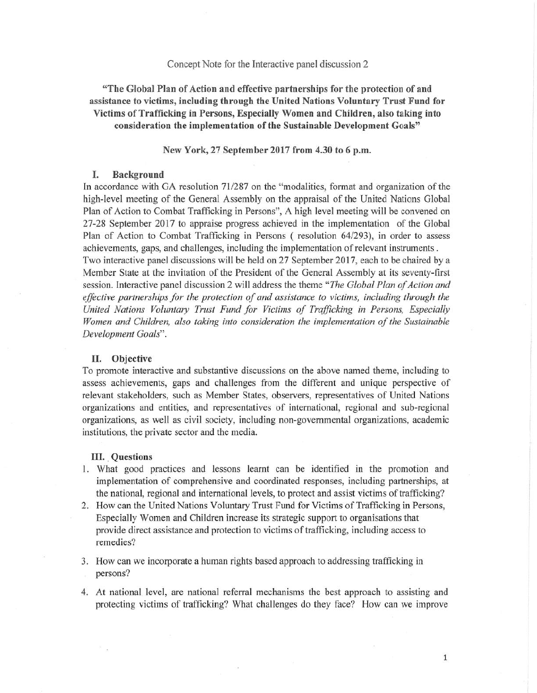## Concept Note for the Interactive panel discussion 2

"The Global Plan of Action and effective partnerships for the protection of and assistance to victims, including through the United Nations Voluntary Trust Fund for Victims of Trafficking in Persons, Especially Women and Children, also taking into consideration the implementation of the Sustainable Development Goals"

New York, 27 September 2017 from 4.30 to 6 p.m.

# I. Background

In accordance with GA resolution 71/287 on the "modalities, format and organization of the high-level meeting of the General Assembly on the appraisal of the United Nations Global Plan of Action to Combat Trafficking in Persons", A high level meeting will be convened on 27-28 September 2017 to appraise progress achieved in the implementation of the Global Plan of Action to Combat Trafficking in Persons ( resolution 64/293), in order to assess achievements, gaps, and challenges, including the implementation of relevant instruments . Two interactive panel discussions will be held on 27 September 2017, each to be chaired by a Member State at the invitation of the President of the General Assembly at its seventy-first session. Interactive panel discussion 2 wil.I address the theme *"The G/obal Plan of Action and effective partnerships for the protection of and assistance to victims, including through the* United Nations Voluntary Trust Fund for Victims of Trafficking in Persons, Especially *Women and Children, also taking into consideration the implementation of the Sustainable Development Goals".*

#### H. **Objective**

To promote interactive and substantive discussions on the above named theme, including to assess achievements, gaps and challenges from the different and unique perspective of relevant stakeholders, such as Member States, observers, representatives of United Nations organizations and entities, and representatives of international, regional and sub-regional organizations, as well as civil society, including non-governmental organizations, academic institutions, the private sector and the media.

#### III. Questions

- 1. What good practices and lessons leamt can be identified in the promotion and implementation of comprehensive and coordinated responses, including partnerships, at the national, regional and international levels, to protect and assist victims of trafficking?
- 2. How can the United Nations Voluntary Trust Fund for Victims of Trafficking in Persons, Especially Women and Children increase its strategic support to organisations that provide direct assistance and protection to victims of trafficking, including access to remedies?

3. How can we incorporate a human rights based approach to addressing trafficking in persons?

4. At national level, are national referral mechanisms the best approach to assisting and protecting victims of trafficking? What challenges do they face? How can we improve

 $\mathbf{1}$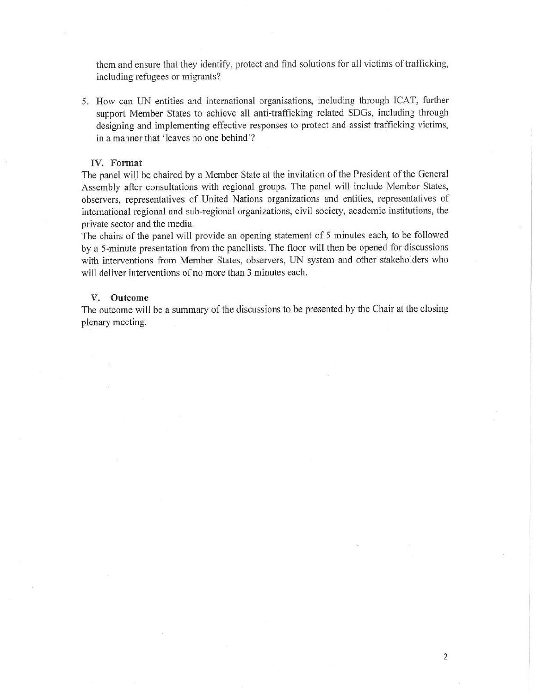them and ensure that they identify, protect and find solutions for all victims of trafficking, including refugees or migrants?

5. How can UN entities and international organisations, including through ICAT, further support Member States to achieve all anti-trafficking related SDGs, including through designing and implementing effective responses to protect and assist trafficking victims, in a manner that 'leaves no one behind'?

#### IV. Format

The panel will be chaired by a Member State at the invitation of the President of the General Assembly after consultations with regional groups. The panel will include Member States, observers, representatives of United Nations organizations and entities, representatives of international regional and sub-regional organizations, civil society, academic institutions, the private sector and the media.

The chairs of the panel will provide an opening statement of 5 minutes each, to be followed by a 5-minute presentation from the panellists. The floor will then be opened for discussions with interventions from Member States, observers, UN system and other stakeholders who will deliver interventions of no more than 3 minutes each.

#### V. Outcome

The outcome will be a summary of the discussions to be presented by the Chair at the closing plenary meeting.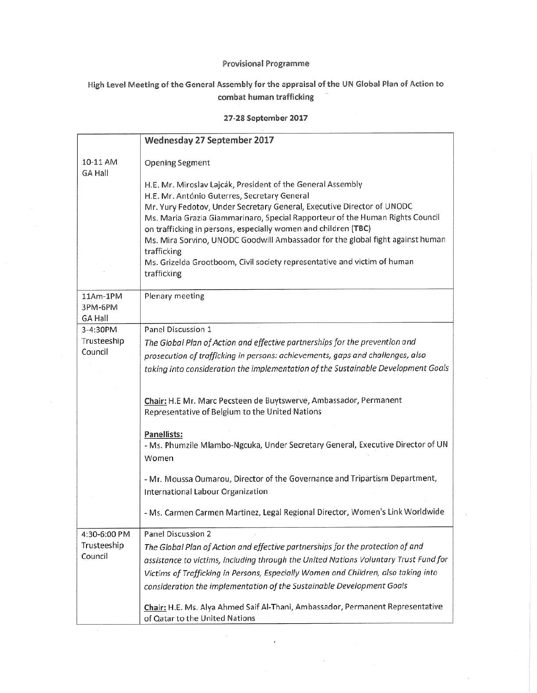## Provisional Programme

# High Level Meeting of the General Assembly for the appraisal of the UN Global Plan of Action to combat human trafficking

## 27-28 September 2017

|                            | Wednesday 27 September 2017                                                             |
|----------------------------|-----------------------------------------------------------------------------------------|
| 10-11 AM<br><b>GA Hall</b> | <b>Opening Segment</b>                                                                  |
|                            | H.E. Mr. Miroslav Lajcák, President of the General Assembly                             |
|                            | H.E. Mr. António Guterres, Secretary General                                            |
|                            | Mr. Yury Fedotov, Under Secretary General, Executive Director of UNODC                  |
|                            | Ms. Maria Grazia Giammarinaro, Special Rapporteur of the Human Rights Council           |
|                            | on trafficking in persons, especially women and children (TBC)                          |
|                            | Ms. Mira Sorvino, UNODC Goodwill Ambassador for the global fight against human          |
|                            | trafficking<br>Ms. Grizelda Grootboom, Civil society representative and victim of human |
|                            | trafficking                                                                             |
|                            |                                                                                         |
| 11Am-1PM                   | Plenary meeting                                                                         |
| 3PM-6PM                    |                                                                                         |
| <b>GA Hall</b><br>3-4:30PM | Panel Discussion 1                                                                      |
| Trusteeship                | The Global Plan of Action and effective partnerships for the prevention and             |
| Council                    | prosecution of trafficking in persons: achievements, gaps and challenges, also          |
|                            | taking into consideration the implementation of the Sustainable Development Goals       |
|                            |                                                                                         |
|                            |                                                                                         |
|                            | Chair: H.E Mr. Marc Pecsteen de Buytswerve, Ambassador, Permanent                       |
|                            | Representative of Belgium to the United Nations                                         |
|                            | Panellists:                                                                             |
|                            | - Ms. Phumzile Mlambo-Ngcuka, Under Secretary General, Executive Director of UN         |
|                            | Women                                                                                   |
|                            | - Mr. Moussa Oumarou, Director of the Governance and Tripartism Department,             |
|                            | International Labour Organization                                                       |
|                            |                                                                                         |
|                            | - Ms. Carmen Carmen Martinez, Legal Regional Director, Women's Link Worldwide           |
| 4:30-6:00 PM               | Panel Discussion 2                                                                      |
| Trusteeship                | The Global Plan of Action and effective partnerships for the protection of and          |
| Council                    | assistance to victims, including through the United Nations Voluntary Trust Fund for    |
|                            | Victims of Trafficking in Persons, Especially Women and Children, also taking into      |
|                            | consideration the implementation of the Sustainable Development Goals                   |
|                            | Chair: H.E. Ms. Alya Ahmed Saif Al-Thani, Ambassador, Permanent Representative          |
|                            | of Qatar to the United Nations                                                          |

ó.